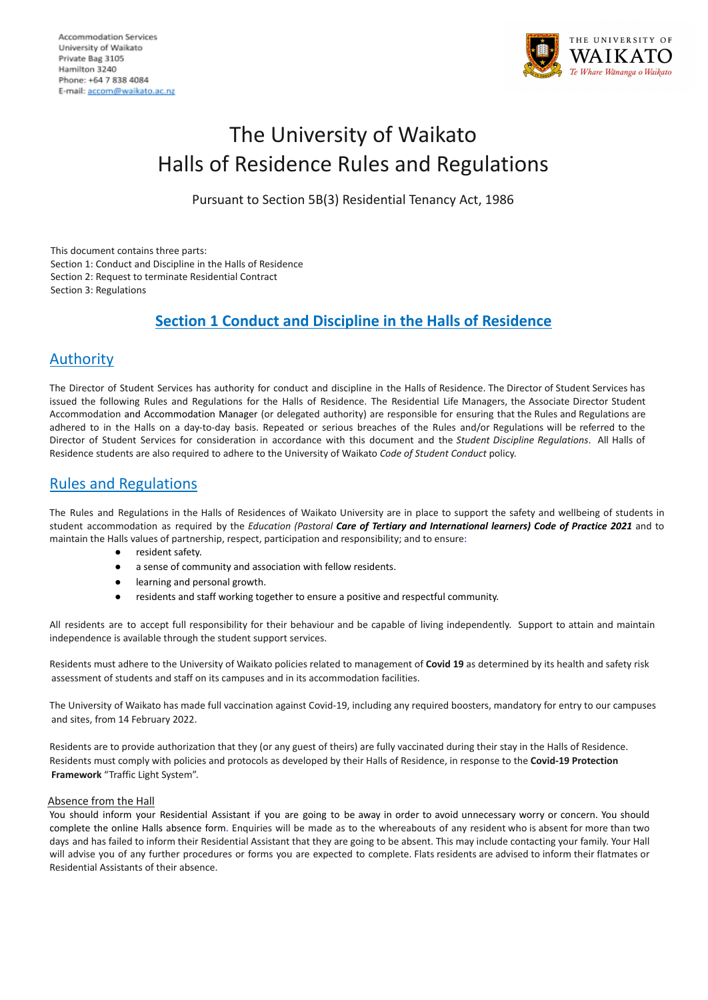

# The University of Waikato Halls of Residence Rules and Regulations

Pursuant to Section 5B(3) Residential Tenancy Act, 1986

This document contains three parts: Section 1: Conduct and Discipline in the Halls of Residence Section 2: Request to terminate Residential Contract Section 3: Regulations

# **Section 1 Conduct and Discipline in the Halls of Residence**

# Authority

The Director of Student Services has authority for conduct and discipline in the Halls of Residence. The Director of Student Services has issued the following Rules and Regulations for the Halls of Residence. The Residential Life Managers, the Associate Director Student Accommodation and Accommodation Manager (or delegated authority) are responsible for ensuring that the Rules and Regulations are adhered to in the Halls on a day-to-day basis. Repeated or serious breaches of the Rules and/or Regulations will be referred to the Director of Student Services for consideration in accordance with this document and the *Student Discipline Regulations*. All Halls of Residence students are also required to adhere to the University of Waikato *Code of Student Conduct* policy.

# Rules and Regulations

The Rules and Regulations in the Halls of Residences of Waikato University are in place to support the safety and wellbeing of students in student accommodation as required by the *Education (Pastoral Care of Tertiary and International learners) Code of Practice 2021* and to maintain the Halls values of partnership, respect, participation and responsibility; and to ensure:

- resident safety.
- a sense of community and association with fellow residents.
- learning and personal growth.
- residents and staff working together to ensure a positive and respectful community.

All residents are to accept full responsibility for their behaviour and be capable of living independently. Support to attain and maintain independence is available through the student support services.

Residents must adhere to the University of Waikato policies related to management of **Covid 19** as determined by its health and safety risk assessment of students and staff on its campuses and in its accommodation facilities.

The University of Waikato has made full vaccination against Covid-19, including any required boosters, mandatory for entry to our campuses and sites, from 14 February 2022.

Residents are to provide authorization that they (or any guest of theirs) are fully vaccinated during their stay in the Halls of Residence. Residents must comply with policies and protocols as developed by their Halls of Residence, in response to the **Covid-19 Protection Framework** "Traffic Light System".

# Absence from the Hall

You should inform your Residential Assistant if you are going to be away in order to avoid unnecessary worry or concern. You should complete the online Halls absence form. Enquiries will be made as to the whereabouts of any resident who is absent for more than two days and has failed to inform their Residential Assistant that they are going to be absent. This may include contacting your family. Your Hall will advise you of any further procedures or forms you are expected to complete. Flats residents are advised to inform their flatmates or Residential Assistants of their absence.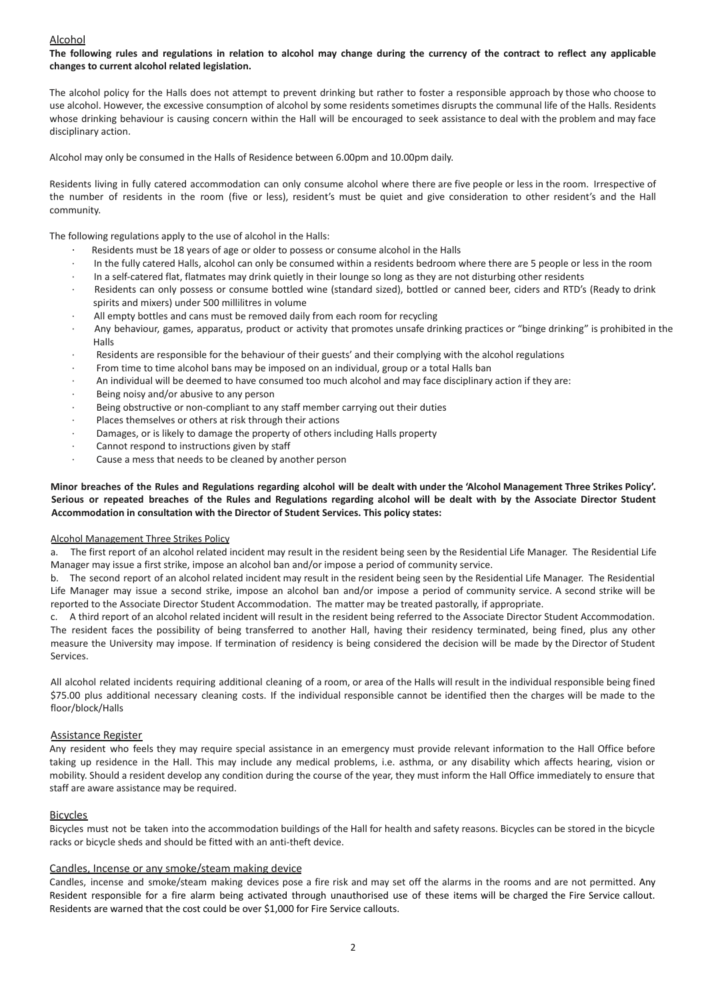### Alcohol

The following rules and regulations in relation to alcohol may change during the currency of the contract to reflect any applicable **changes to current alcohol related legislation.**

The alcohol policy for the Halls does not attempt to prevent drinking but rather to foster a responsible approach by those who choose to use alcohol. However, the excessive consumption of alcohol by some residents sometimes disrupts the communal life of the Halls. Residents whose drinking behaviour is causing concern within the Hall will be encouraged to seek assistance to deal with the problem and may face disciplinary action.

Alcohol may only be consumed in the Halls of Residence between 6.00pm and 10.00pm daily.

Residents living in fully catered accommodation can only consume alcohol where there are five people or less in the room. Irrespective of the number of residents in the room (five or less), resident's must be quiet and give consideration to other resident's and the Hall community.

The following regulations apply to the use of alcohol in the Halls:

- Residents must be 18 years of age or older to possess or consume alcohol in the Halls
- In the fully catered Halls, alcohol can only be consumed within a residents bedroom where there are 5 people or less in the room
- · In a self-catered flat, flatmates may drink quietly in their lounge so long as they are not disturbing other residents
- Residents can only possess or consume bottled wine (standard sized), bottled or canned beer, ciders and RTD's (Ready to drink spirits and mixers) under 500 millilitres in volume
- All empty bottles and cans must be removed daily from each room for recycling
- · Any behaviour, games, apparatus, product or activity that promotes unsafe drinking practices or "binge drinking" is prohibited in the Halls
- Residents are responsible for the behaviour of their guests' and their complying with the alcohol regulations
- From time to time alcohol bans may be imposed on an individual, group or a total Halls ban
- · An individual will be deemed to have consumed too much alcohol and may face disciplinary action if they are:
- Being noisy and/or abusive to any person
- Being obstructive or non-compliant to any staff member carrying out their duties
- Places themselves or others at risk through their actions
- Damages, or is likely to damage the property of others including Halls property
- Cannot respond to instructions given by staff
- Cause a mess that needs to be cleaned by another person

## Minor breaches of the Rules and Regulations regarding alcohol will be dealt with under the 'Alcohol Management Three Strikes Policy'. Serious or repeated breaches of the Rules and Regulations regarding alcohol will be dealt with by the Associate Director Student **Accommodation in consultation with the Director of Student Services. This policy states:**

#### Alcohol Management Three Strikes Policy

a. The first report of an alcohol related incident may result in the resident being seen by the Residential Life Manager. The Residential Life Manager may issue a first strike, impose an alcohol ban and/or impose a period of community service.

b. The second report of an alcohol related incident may result in the resident being seen by the Residential Life Manager. The Residential Life Manager may issue a second strike, impose an alcohol ban and/or impose a period of community service. A second strike will be reported to the Associate Director Student Accommodation. The matter may be treated pastorally, if appropriate.

c. A third report of an alcohol related incident will result in the resident being referred to the Associate Director Student Accommodation. The resident faces the possibility of being transferred to another Hall, having their residency terminated, being fined, plus any other measure the University may impose. If termination of residency is being considered the decision will be made by the Director of Student Services.

All alcohol related incidents requiring additional cleaning of a room, or area of the Halls will result in the individual responsible being fined \$75.00 plus additional necessary cleaning costs. If the individual responsible cannot be identified then the charges will be made to the floor/block/Halls

### Assistance Register

Any resident who feels they may require special assistance in an emergency must provide relevant information to the Hall Office before taking up residence in the Hall. This may include any medical problems, i.e. asthma, or any disability which affects hearing, vision or mobility. Should a resident develop any condition during the course of the year, they must inform the Hall Office immediately to ensure that staff are aware assistance may be required.

### Bicycles

Bicycles must not be taken into the accommodation buildings of the Hall for health and safety reasons. Bicycles can be stored in the bicycle racks or bicycle sheds and should be fitted with an anti-theft device.

#### Candles, Incense or any smoke/steam making device

Candles, incense and smoke/steam making devices pose a fire risk and may set off the alarms in the rooms and are not permitted. Any Resident responsible for a fire alarm being activated through unauthorised use of these items will be charged the Fire Service callout. Residents are warned that the cost could be over \$1,000 for Fire Service callouts.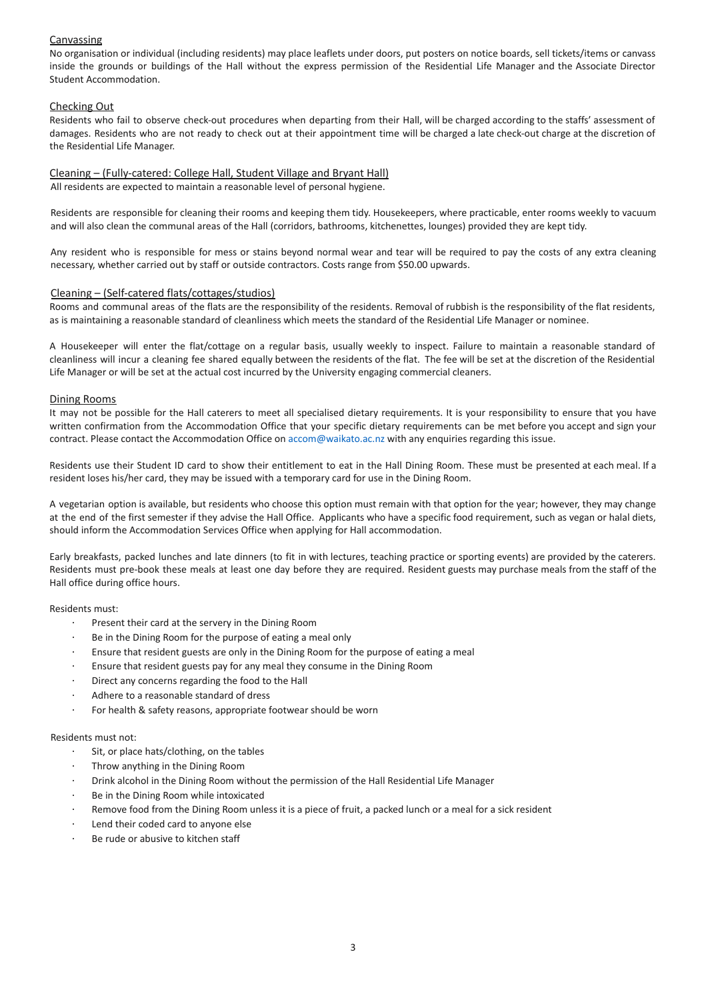# Canvassing

No organisation or individual (including residents) may place leaflets under doors, put posters on notice boards, sell tickets/items or canvass inside the grounds or buildings of the Hall without the express permission of the Residential Life Manager and the Associate Director Student Accommodation.

# Checking Out

Residents who fail to observe check-out procedures when departing from their Hall, will be charged according to the staffs' assessment of damages. Residents who are not ready to check out at their appointment time will be charged a late check-out charge at the discretion of the Residential Life Manager.

# Cleaning – (Fully-catered: College Hall, Student Village and Bryant Hall)

All residents are expected to maintain a reasonable level of personal hygiene.

Residents are responsible for cleaning their rooms and keeping them tidy. Housekeepers, where practicable, enter rooms weekly to vacuum and will also clean the communal areas of the Hall (corridors, bathrooms, kitchenettes, lounges) provided they are kept tidy.

Any resident who is responsible for mess or stains beyond normal wear and tear will be required to pay the costs of any extra cleaning necessary, whether carried out by staff or outside contractors. Costs range from \$50.00 upwards.

### Cleaning – (Self-catered flats/cottages/studios)

Rooms and communal areas of the flats are the responsibility of the residents. Removal of rubbish is the responsibility of the flat residents, as is maintaining a reasonable standard of cleanliness which meets the standard of the Residential Life Manager or nominee.

A Housekeeper will enter the flat/cottage on a regular basis, usually weekly to inspect. Failure to maintain a reasonable standard of cleanliness will incur a cleaning fee shared equally between the residents of the flat. The fee will be set at the discretion of the Residential Life Manager or will be set at the actual cost incurred by the University engaging commercial cleaners.

### Dining Rooms

It may not be possible for the Hall caterers to meet all specialised dietary requirements. It is your responsibility to ensure that you have written confirmation from the Accommodation Office that your specific dietary requirements can be met before you accept and sign your contract. Please contact the Accommodation Office on accom@waikato.ac.nz with any enquiries regarding this issue.

Residents use their Student ID card to show their entitlement to eat in the Hall Dining Room. These must be presented at each meal. If a resident loses his/her card, they may be issued with a temporary card for use in the Dining Room.

A vegetarian option is available, but residents who choose this option must remain with that option for the year; however, they may change at the end of the first semester if they advise the Hall Office. Applicants who have a specific food requirement, such as vegan or halal diets, should inform the Accommodation Services Office when applying for Hall accommodation.

Early breakfasts, packed lunches and late dinners (to fit in with lectures, teaching practice or sporting events) are provided by the caterers. Residents must pre-book these meals at least one day before they are required. Resident guests may purchase meals from the staff of the Hall office during office hours.

### Residents must:

- · Present their card at the servery in the Dining Room
- Be in the Dining Room for the purpose of eating a meal only
- · Ensure that resident guests are only in the Dining Room for the purpose of eating a meal
- Ensure that resident guests pay for any meal they consume in the Dining Room
- Direct any concerns regarding the food to the Hall
- Adhere to a reasonable standard of dress
- For health & safety reasons, appropriate footwear should be worn

#### Residents must not:

- Sit, or place hats/clothing, on the tables
- Throw anything in the Dining Room
- · Drink alcohol in the Dining Room without the permission of the Hall Residential Life Manager
- Be in the Dining Room while intoxicated
- Remove food from the Dining Room unless it is a piece of fruit, a packed lunch or a meal for a sick resident
- Lend their coded card to anyone else
- Be rude or abusive to kitchen staff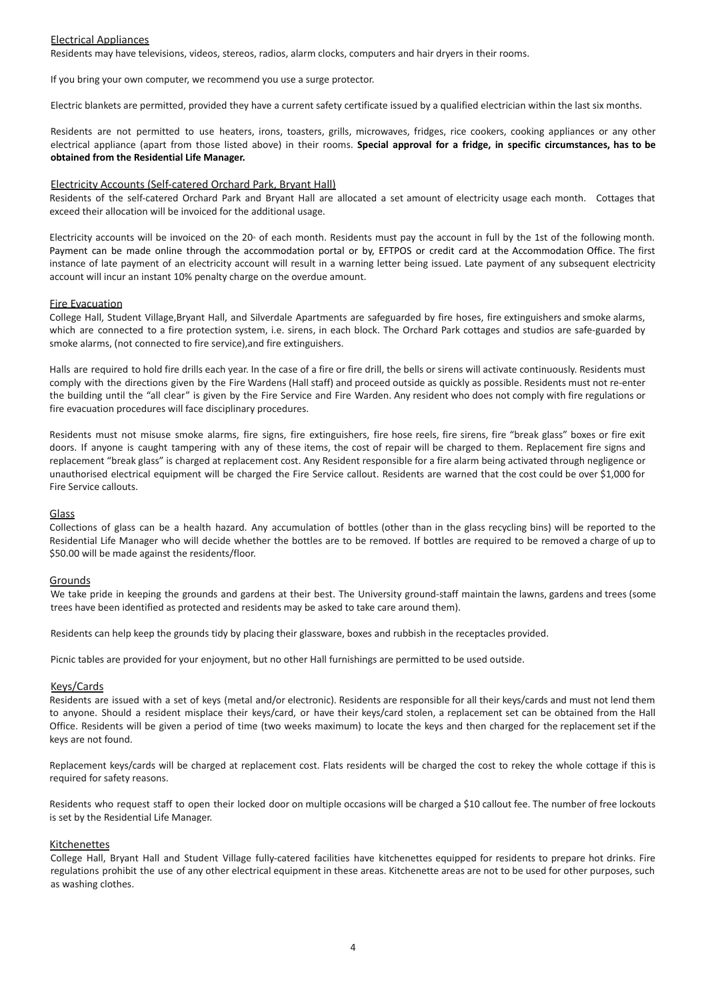### Electrical Appliances

Residents may have televisions, videos, stereos, radios, alarm clocks, computers and hair dryers in their rooms.

If you bring your own computer, we recommend you use a surge protector.

Electric blankets are permitted, provided they have a current safety certificate issued by a qualified electrician within the last six months.

Residents are not permitted to use heaters, irons, toasters, grills, microwaves, fridges, rice cookers, cooking appliances or any other electrical appliance (apart from those listed above) in their rooms. **Special approval for a fridge, in specific circumstances, has to be obtained from the Residential Life Manager.**

#### Electricity Accounts (Self-catered Orchard Park, Bryant Hall)

Residents of the self-catered Orchard Park and Bryant Hall are allocated a set amount of electricity usage each month. Cottages that exceed their allocation will be invoiced for the additional usage.

Electricity accounts will be invoiced on the 20<sup>th</sup> of each month. Residents must pay the account in full by the 1st of the following month. Payment can be made online through the accommodation portal or by, EFTPOS or credit card at the Accommodation Office. The first instance of late payment of an electricity account will result in a warning letter being issued. Late payment of any subsequent electricity account will incur an instant 10% penalty charge on the overdue amount.

#### Fire Evacuation

College Hall, Student Village,Bryant Hall, and Silverdale Apartments are safeguarded by fire hoses, fire extinguishers and smoke alarms, which are connected to a fire protection system, i.e. sirens, in each block. The Orchard Park cottages and studios are safe-guarded by smoke alarms, (not connected to fire service),and fire extinguishers.

Halls are required to hold fire drills each year. In the case of a fire or fire drill, the bells or sirens will activate continuously. Residents must comply with the directions given by the Fire Wardens (Hall staff) and proceed outside as quickly as possible. Residents must not re-enter the building until the "all clear" is given by the Fire Service and Fire Warden. Any resident who does not comply with fire regulations or fire evacuation procedures will face disciplinary procedures.

Residents must not misuse smoke alarms, fire signs, fire extinguishers, fire hose reels, fire sirens, fire "break glass" boxes or fire exit doors. If anyone is caught tampering with any of these items, the cost of repair will be charged to them. Replacement fire signs and replacement "break glass" is charged at replacement cost. Any Resident responsible for a fire alarm being activated through negligence or unauthorised electrical equipment will be charged the Fire Service callout. Residents are warned that the cost could be over \$1,000 for Fire Service callouts.

#### Glass

Collections of glass can be a health hazard. Any accumulation of bottles (other than in the glass recycling bins) will be reported to the Residential Life Manager who will decide whether the bottles are to be removed. If bottles are required to be removed a charge of up to \$50.00 will be made against the residents/floor.

#### Grounds

We take pride in keeping the grounds and gardens at their best. The University ground-staff maintain the lawns, gardens and trees (some trees have been identified as protected and residents may be asked to take care around them).

Residents can help keep the grounds tidy by placing their glassware, boxes and rubbish in the receptacles provided.

Picnic tables are provided for your enjoyment, but no other Hall furnishings are permitted to be used outside.

#### Keys/Cards

Residents are issued with a set of keys (metal and/or electronic). Residents are responsible for all their keys/cards and must not lend them to anyone. Should a resident misplace their keys/card, or have their keys/card stolen, a replacement set can be obtained from the Hall Office. Residents will be given a period of time (two weeks maximum) to locate the keys and then charged for the replacement set if the keys are not found.

Replacement keys/cards will be charged at replacement cost. Flats residents will be charged the cost to rekey the whole cottage if this is required for safety reasons.

Residents who request staff to open their locked door on multiple occasions will be charged a \$10 callout fee. The number of free lockouts is set by the Residential Life Manager.

#### Kitchenettes

College Hall, Bryant Hall and Student Village fully-catered facilities have kitchenettes equipped for residents to prepare hot drinks. Fire regulations prohibit the use of any other electrical equipment in these areas. Kitchenette areas are not to be used for other purposes, such as washing clothes.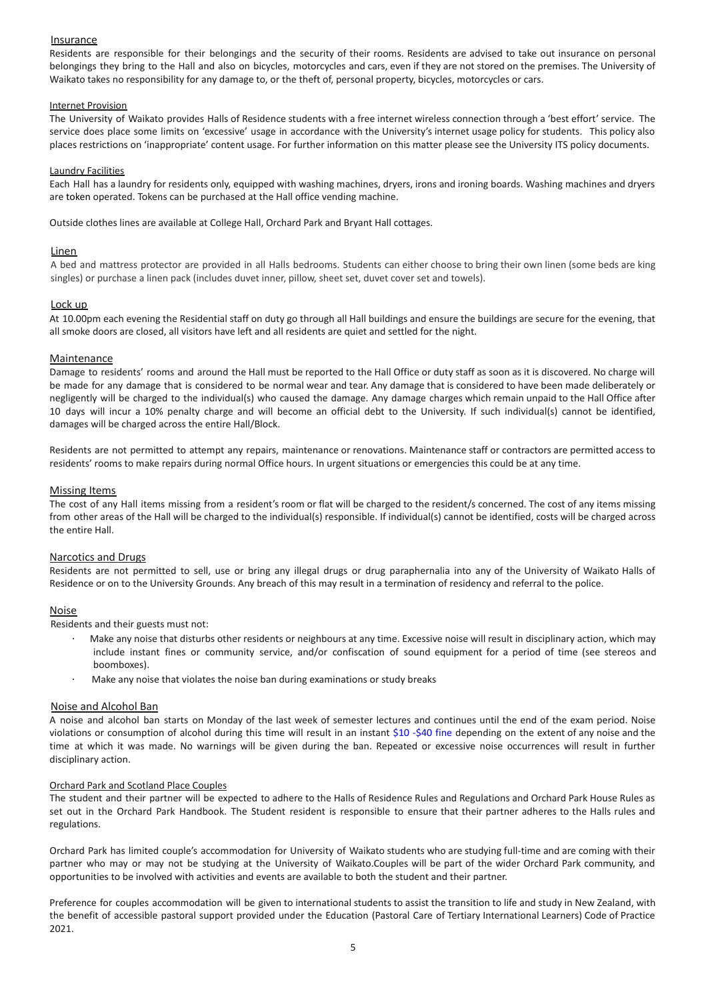## Insurance

Residents are responsible for their belongings and the security of their rooms. Residents are advised to take out insurance on personal belongings they bring to the Hall and also on bicycles, motorcycles and cars, even if they are not stored on the premises. The University of Waikato takes no responsibility for any damage to, or the theft of, personal property, bicycles, motorcycles or cars.

#### Internet Provision

The University of Waikato provides Halls of Residence students with a free internet wireless connection through a 'best effort' service. The service does place some limits on 'excessive' usage in accordance with the University's internet usage policy for students. This policy also places restrictions on 'inappropriate' content usage. For further information on this matter please see the University ITS policy documents.

#### Laundry Facilities

Each Hall has a laundry for residents only, equipped with washing machines, dryers, irons and ironing boards. Washing machines and dryers are token operated. Tokens can be purchased at the Hall office vending machine.

Outside clothes lines are available at College Hall, Orchard Park and Bryant Hall cottages.

#### **Linen**

A bed and mattress protector are provided in all Halls bedrooms. Students can either choose to bring their own linen (some beds are king singles) or purchase a linen pack (includes duvet inner, pillow, sheet set, duvet cover set and towels).

#### Lock up

At 10.00pm each evening the Residential staff on duty go through all Hall buildings and ensure the buildings are secure for the evening, that all smoke doors are closed, all visitors have left and all residents are quiet and settled for the night.

### Maintenance

Damage to residents' rooms and around the Hall must be reported to the Hall Office or duty staff as soon as it is discovered. No charge will be made for any damage that is considered to be normal wear and tear. Any damage that is considered to have been made deliberately or negligently will be charged to the individual(s) who caused the damage. Any damage charges which remain unpaid to the Hall Office after 10 days will incur a 10% penalty charge and will become an official debt to the University. If such individual(s) cannot be identified, damages will be charged across the entire Hall/Block.

Residents are not permitted to attempt any repairs, maintenance or renovations. Maintenance staff or contractors are permitted access to residents' rooms to make repairs during normal Office hours. In urgent situations or emergencies this could be at any time.

#### Missing Items

The cost of any Hall items missing from a resident's room or flat will be charged to the resident/s concerned. The cost of any items missing from other areas of the Hall will be charged to the individual(s) responsible. If individual(s) cannot be identified, costs will be charged across the entire Hall.

#### Narcotics and Drugs

Residents are not permitted to sell, use or bring any illegal drugs or drug paraphernalia into any of the University of Waikato Halls of Residence or on to the University Grounds. Any breach of this may result in a termination of residency and referral to the police.

### **Noise**

Residents and their guests must not:

- · Make any noise that disturbs other residents or neighbours at any time. Excessive noise will result in disciplinary action, which may include instant fines or community service, and/or confiscation of sound equipment for a period of time (see stereos and boomboxes).
- Make any noise that violates the noise ban during examinations or study breaks

# Noise and Alcohol Ban

A noise and alcohol ban starts on Monday of the last week of semester lectures and continues until the end of the exam period. Noise violations or consumption of alcohol during this time will result in an instant \$10 -\$40 fine depending on the extent of any noise and the time at which it was made. No warnings will be given during the ban. Repeated or excessive noise occurrences will result in further disciplinary action.

#### Orchard Park and Scotland Place Couples

The student and their partner will be expected to adhere to the Halls of Residence Rules and Regulations and Orchard Park House Rules as set out in the Orchard Park Handbook. The Student resident is responsible to ensure that their partner adheres to the Halls rules and regulations.

Orchard Park has limited couple's accommodation for University of Waikato students who are studying full-time and are coming with their partner who may or may not be studying at the University of Waikato.Couples will be part of the wider Orchard Park community, and opportunities to be involved with activities and events are available to both the student and their partner.

Preference for couples accommodation will be given to international students to assist the transition to life and study in New Zealand, with the benefit of accessible pastoral support provided under the Education (Pastoral Care of Tertiary International Learners) Code of Practice 2021.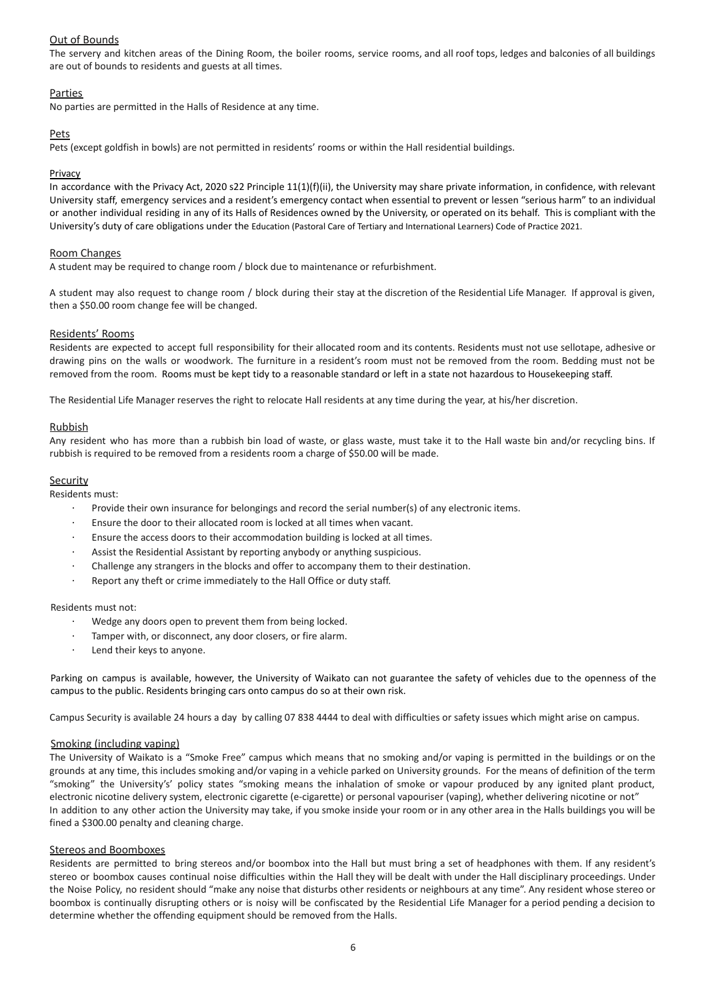# Out of Bounds

The servery and kitchen areas of the Dining Room, the boiler rooms, service rooms, and all roof tops, ledges and balconies of all buildings are out of bounds to residents and guests at all times.

# **Parties**

No parties are permitted in the Halls of Residence at any time.

## Pets

Pets (except goldfish in bowls) are not permitted in residents' rooms or within the Hall residential buildings.

## Privacy

In accordance with the Privacy Act, 2020 s22 Principle 11(1)(f)(ii), the University may share private information, in confidence, with relevant University staff, emergency services and a resident's emergency contact when essential to prevent or lessen "serious harm" to an individual or another individual residing in any of its Halls of Residences owned by the University, or operated on its behalf. This is compliant with the University's duty of care obligations under the Education (Pastoral Care of Tertiary and International Learners) Code of Practice 2021.

### Room Changes

A student may be required to change room / block due to maintenance or refurbishment.

A student may also request to change room / block during their stay at the discretion of the Residential Life Manager. If approval is given, then a \$50.00 room change fee will be changed.

### Residents' Rooms

Residents are expected to accept full responsibility for their allocated room and its contents. Residents must not use sellotape, adhesive or drawing pins on the walls or woodwork. The furniture in a resident's room must not be removed from the room. Bedding must not be removed from the room. Rooms must be kept tidy to a reasonable standard or left in a state not hazardous to Housekeeping staff.

The Residential Life Manager reserves the right to relocate Hall residents at any time during the year, at his/her discretion.

### Rubbish

Any resident who has more than a rubbish bin load of waste, or glass waste, must take it to the Hall waste bin and/or recycling bins. If rubbish is required to be removed from a residents room a charge of \$50.00 will be made.

### **Security**

Residents must:

- Provide their own insurance for belongings and record the serial number(s) of any electronic items.
- Ensure the door to their allocated room is locked at all times when vacant.
- · Ensure the access doors to their accommodation building is locked at all times.
- Assist the Residential Assistant by reporting anybody or anything suspicious.
- Challenge any strangers in the blocks and offer to accompany them to their destination.
- Report any theft or crime immediately to the Hall Office or duty staff.

### Residents must not:

- Wedge any doors open to prevent them from being locked.
- Tamper with, or disconnect, any door closers, or fire alarm.
- Lend their keys to anyone.

Parking on campus is available, however, the University of Waikato can not guarantee the safety of vehicles due to the openness of the campus to the public. Residents bringing cars onto campus do so at their own risk.

Campus Security is available 24 hours a day by calling 07 838 4444 to deal with difficulties or safety issues which might arise on campus.

### Smoking (including vaping)

The University of Waikato is a "Smoke Free" campus which means that no smoking and/or vaping is permitted in the buildings or on the grounds at any time, this includes smoking and/or vaping in a vehicle parked on University grounds. For the means of definition of the term "smoking" the University's' policy states "smoking means the inhalation of smoke or vapour produced by any ignited plant product, electronic nicotine delivery system, electronic cigarette (e-cigarette) or personal vapouriser (vaping), whether delivering nicotine or not" In addition to any other action the University may take, if you smoke inside your room or in any other area in the Halls buildings you will be fined a \$300.00 penalty and cleaning charge.

### Stereos and Boomboxes

Residents are permitted to bring stereos and/or boombox into the Hall but must bring a set of headphones with them. If any resident's stereo or boombox causes continual noise difficulties within the Hall they will be dealt with under the Hall disciplinary proceedings. Under the Noise Policy, no resident should "make any noise that disturbs other residents or neighbours at any time". Any resident whose stereo or boombox is continually disrupting others or is noisy will be confiscated by the Residential Life Manager for a period pending a decision to determine whether the offending equipment should be removed from the Halls.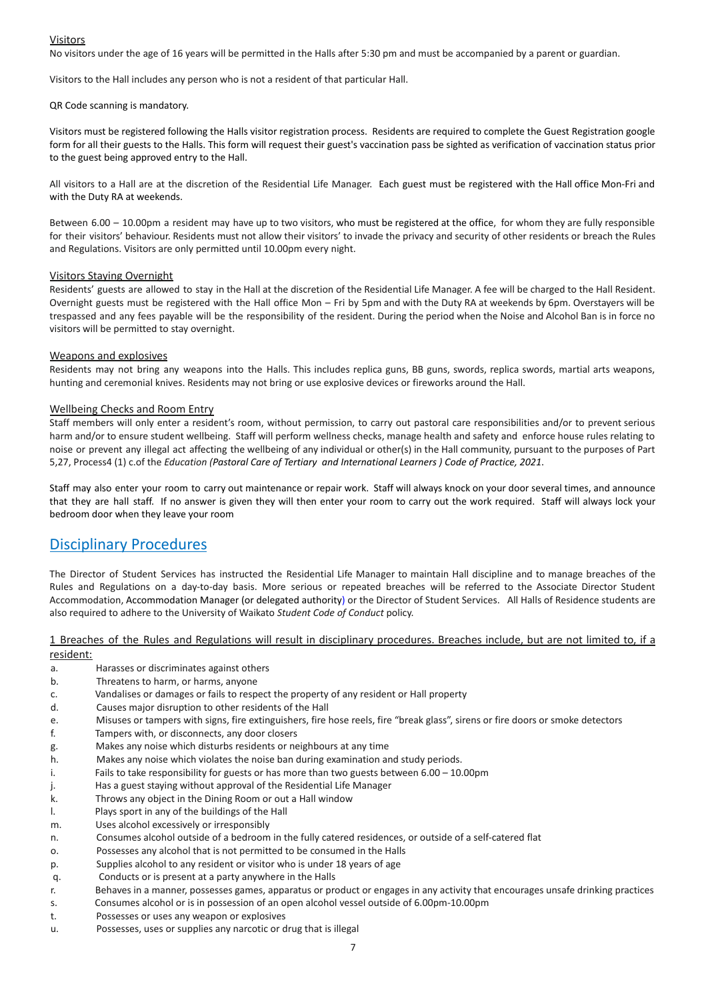# Visitors

No visitors under the age of 16 years will be permitted in the Halls after 5:30 pm and must be accompanied by a parent or guardian.

Visitors to the Hall includes any person who is not a resident of that particular Hall.

#### QR Code scanning is mandatory.

Visitors must be registered following the Halls visitor registration process. Residents are required to complete the Guest Registration google form for all their guests to the Halls. This form will request their guest's vaccination pass be sighted as verification of vaccination status prior to the guest being approved entry to the Hall.

All visitors to a Hall are at the discretion of the Residential Life Manager. Each guest must be registered with the Hall office Mon-Fri and with the Duty RA at weekends.

Between 6.00 – 10.00pm a resident may have up to two visitors, who must be registered at the office, for whom they are fully responsible for their visitors' behaviour. Residents must not allow their visitors' to invade the privacy and security of other residents or breach the Rules and Regulations. Visitors are only permitted until 10.00pm every night.

#### Visitors Staying Overnight

Residents' guests are allowed to stay in the Hall at the discretion of the Residential Life Manager. A fee will be charged to the Hall Resident. Overnight guests must be registered with the Hall office Mon – Fri by 5pm and with the Duty RA at weekends by 6pm. Overstayers will be trespassed and any fees payable will be the responsibility of the resident. During the period when the Noise and Alcohol Ban is in force no visitors will be permitted to stay overnight.

#### Weapons and explosives

Residents may not bring any weapons into the Halls. This includes replica guns, BB guns, swords, replica swords, martial arts weapons, hunting and ceremonial knives. Residents may not bring or use explosive devices or fireworks around the Hall.

### Wellbeing Checks and Room Entry

Staff members will only enter a resident's room, without permission, to carry out pastoral care responsibilities and/or to prevent serious harm and/or to ensure student wellbeing. Staff will perform wellness checks, manage health and safety and enforce house rules relating to noise or prevent any illegal act affecting the wellbeing of any individual or other(s) in the Hall community, pursuant to the purposes of Part 5,27, Process4 (1) c.of the *Education (Pastoral Care of Tertiary and International Learners ) Code of Practice, 2021*.

Staff may also enter your room to carry out maintenance or repair work. Staff will always knock on your door several times, and announce that they are hall staff. If no answer is given they will then enter your room to carry out the work required. Staff will always lock your bedroom door when they leave your room

# Disciplinary Procedures

The Director of Student Services has instructed the Residential Life Manager to maintain Hall discipline and to manage breaches of the Rules and Regulations on a day-to-day basis. More serious or repeated breaches will be referred to the Associate Director Student Accommodation, Accommodation Manager (or delegated authority) or the Director of Student Services. All Halls of Residence students are also required to adhere to the University of Waikato *Student Code of Conduct* policy.

1 Breaches of the Rules and Regulations will result in disciplinary procedures. Breaches include, but are not limited to, if a resident:

- a. Harasses or discriminates against others
- b. Threatens to harm, or harms, anyone
- c. Vandalises or damages or fails to respect the property of any resident or Hall property
- d. Causes major disruption to other residents of the Hall
- e. Misuses or tampers with signs, fire extinguishers, fire hose reels, fire "break glass", sirens or fire doors or smoke detectors
- f. Tampers with, or disconnects, any door closers
- g. Makes any noise which disturbs residents or neighbours at any time
- h. Makes any noise which violates the noise ban during examination and study periods.
- i. Fails to take responsibility for guests or has more than two guests between 6.00 10.00pm
- j. Has a guest staying without approval of the Residential Life Manager
- k. Throws any object in the Dining Room or out a Hall window
- l. Plays sport in any of the buildings of the Hall
- m. Uses alcohol excessively or irresponsibly
- n. Consumes alcohol outside of a bedroom in the fully catered residences, or outside of a self-catered flat
- o. Possesses any alcohol that is not permitted to be consumed in the Halls
- p. Supplies alcohol to any resident or visitor who is under 18 years of age
- q. Conducts or is present at a party anywhere in the Halls
- r. Behaves in a manner, possesses games, apparatus or product or engages in any activity that encourages unsafe drinking practices
- s. Consumes alcohol or is in possession of an open alcohol vessel outside of 6.00pm-10.00pm
- t. Possesses or uses any weapon or explosives
- u. Possesses, uses or supplies any narcotic or drug that is illegal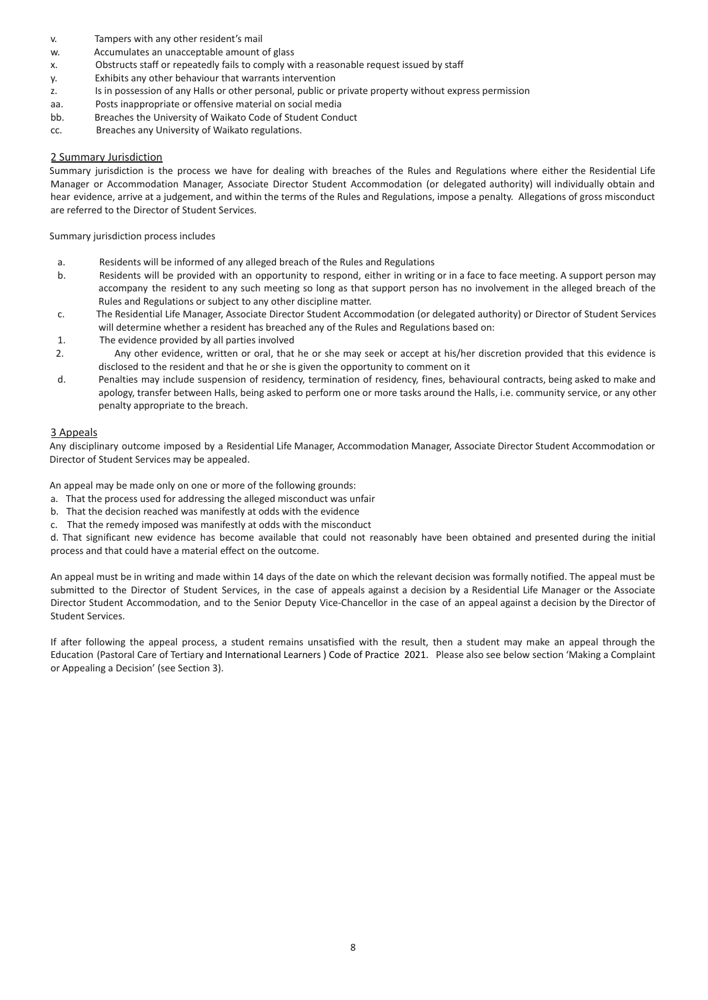- v. Tampers with any other resident's mail
- w. Accumulates an unacceptable amount of glass
- x. Obstructs staff or repeatedly fails to comply with a reasonable request issued by staff
- y. Exhibits any other behaviour that warrants intervention
- z. Is in possession of any Halls or other personal, public or private property without express permission
- aa. Posts inappropriate or offensive material on social media
- bb. Breaches the University of Waikato Code of Student Conduct
- cc. Breaches any University of Waikato regulations.

# 2 Summary Jurisdiction

Summary jurisdiction is the process we have for dealing with breaches of the Rules and Regulations where either the Residential Life Manager or Accommodation Manager, Associate Director Student Accommodation (or delegated authority) will individually obtain and hear evidence, arrive at a judgement, and within the terms of the Rules and Regulations, impose a penalty. Allegations of gross misconduct are referred to the Director of Student Services.

Summary jurisdiction process includes

- a. Residents will be informed of any alleged breach of the Rules and Regulations
- b. Residents will be provided with an opportunity to respond, either in writing or in a face to face meeting. A support person may accompany the resident to any such meeting so long as that support person has no involvement in the alleged breach of the Rules and Regulations or subject to any other discipline matter.
- c. The Residential Life Manager, Associate Director Student Accommodation (or delegated authority) or Director of Student Services will determine whether a resident has breached any of the Rules and Regulations based on:
- 1. The evidence provided by all parties involved
- 2. Any other evidence, written or oral, that he or she may seek or accept at his/her discretion provided that this evidence is disclosed to the resident and that he or she is given the opportunity to comment on it
- d. Penalties may include suspension of residency, termination of residency, fines, behavioural contracts, being asked to make and apology, transfer between Halls, being asked to perform one or more tasks around the Halls, i.e. community service, or any other penalty appropriate to the breach.

# 3 Appeals

Any disciplinary outcome imposed by a Residential Life Manager, Accommodation Manager, Associate Director Student Accommodation or Director of Student Services may be appealed.

An appeal may be made only on one or more of the following grounds:

- a. That the process used for addressing the alleged misconduct was unfair
- b. That the decision reached was manifestly at odds with the evidence
- c. That the remedy imposed was manifestly at odds with the misconduct

d. That significant new evidence has become available that could not reasonably have been obtained and presented during the initial process and that could have a material effect on the outcome.

An appeal must be in writing and made within 14 days of the date on which the relevant decision was formally notified. The appeal must be submitted to the Director of Student Services, in the case of appeals against a decision by a Residential Life Manager or the Associate Director Student Accommodation, and to the Senior Deputy Vice-Chancellor in the case of an appeal against a decision by the Director of Student Services.

If after following the appeal process, a student remains unsatisfied with the result, then a student may make an appeal through the Education (Pastoral Care of Tertiary and International Learners ) Code of Practice 2021. Please also see below section 'Making a Complaint or Appealing a Decision' (see Section 3).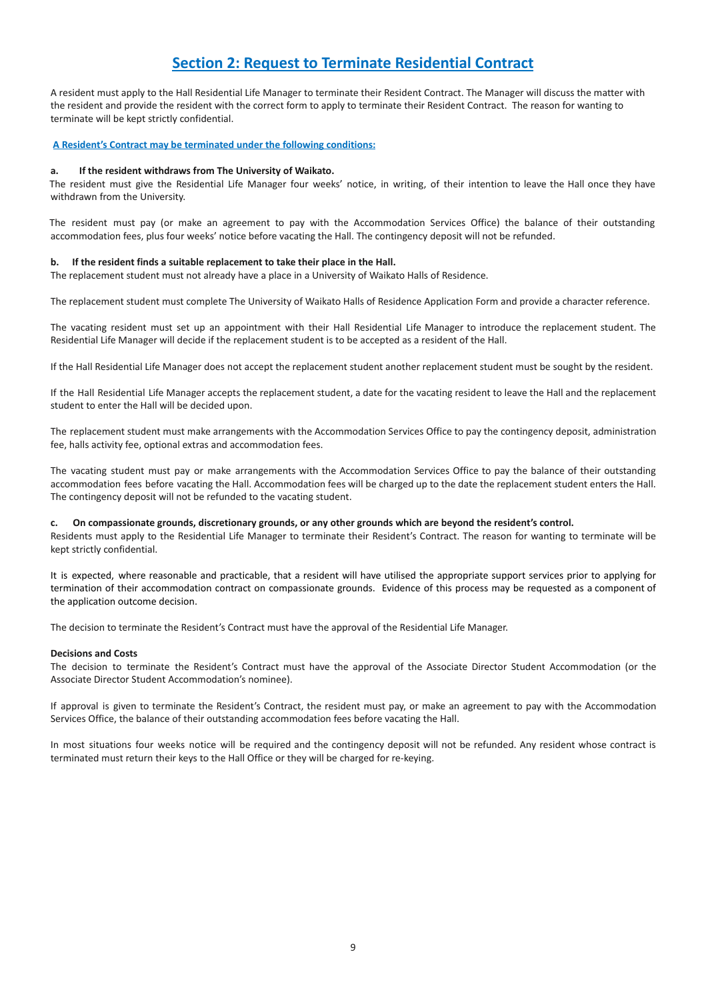# **Section 2: Request to Terminate Residential Contract**

A resident must apply to the Hall Residential Life Manager to terminate their Resident Contract. The Manager will discuss the matter with the resident and provide the resident with the correct form to apply to terminate their Resident Contract. The reason for wanting to terminate will be kept strictly confidential.

#### **A Resident's Contract may be terminated under the following conditions:**

#### **a. If the resident withdraws from The University of Waikato.**

The resident must give the Residential Life Manager four weeks' notice, in writing, of their intention to leave the Hall once they have withdrawn from the University.

The resident must pay (or make an agreement to pay with the Accommodation Services Office) the balance of their outstanding accommodation fees, plus four weeks' notice before vacating the Hall. The contingency deposit will not be refunded.

#### **b. If the resident finds a suitable replacement to take their place in the Hall.**

The replacement student must not already have a place in a University of Waikato Halls of Residence.

The replacement student must complete The University of Waikato Halls of Residence Application Form and provide a character reference.

The vacating resident must set up an appointment with their Hall Residential Life Manager to introduce the replacement student. The Residential Life Manager will decide if the replacement student is to be accepted as a resident of the Hall.

If the Hall Residential Life Manager does not accept the replacement student another replacement student must be sought by the resident.

If the Hall Residential Life Manager accepts the replacement student, a date for the vacating resident to leave the Hall and the replacement student to enter the Hall will be decided upon.

The replacement student must make arrangements with the Accommodation Services Office to pay the contingency deposit, administration fee, halls activity fee, optional extras and accommodation fees.

The vacating student must pay or make arrangements with the Accommodation Services Office to pay the balance of their outstanding accommodation fees before vacating the Hall. Accommodation fees will be charged up to the date the replacement student enters the Hall. The contingency deposit will not be refunded to the vacating student.

#### **c. On compassionate grounds, discretionary grounds, or any other grounds which are beyond the resident's control.**

Residents must apply to the Residential Life Manager to terminate their Resident's Contract. The reason for wanting to terminate will be kept strictly confidential.

It is expected, where reasonable and practicable, that a resident will have utilised the appropriate support services prior to applying for termination of their accommodation contract on compassionate grounds. Evidence of this process may be requested as a component of the application outcome decision.

The decision to terminate the Resident's Contract must have the approval of the Residential Life Manager.

#### **Decisions and Costs**

The decision to terminate the Resident's Contract must have the approval of the Associate Director Student Accommodation (or the Associate Director Student Accommodation's nominee).

If approval is given to terminate the Resident's Contract, the resident must pay, or make an agreement to pay with the Accommodation Services Office, the balance of their outstanding accommodation fees before vacating the Hall.

In most situations four weeks notice will be required and the contingency deposit will not be refunded. Any resident whose contract is terminated must return their keys to the Hall Office or they will be charged for re-keying.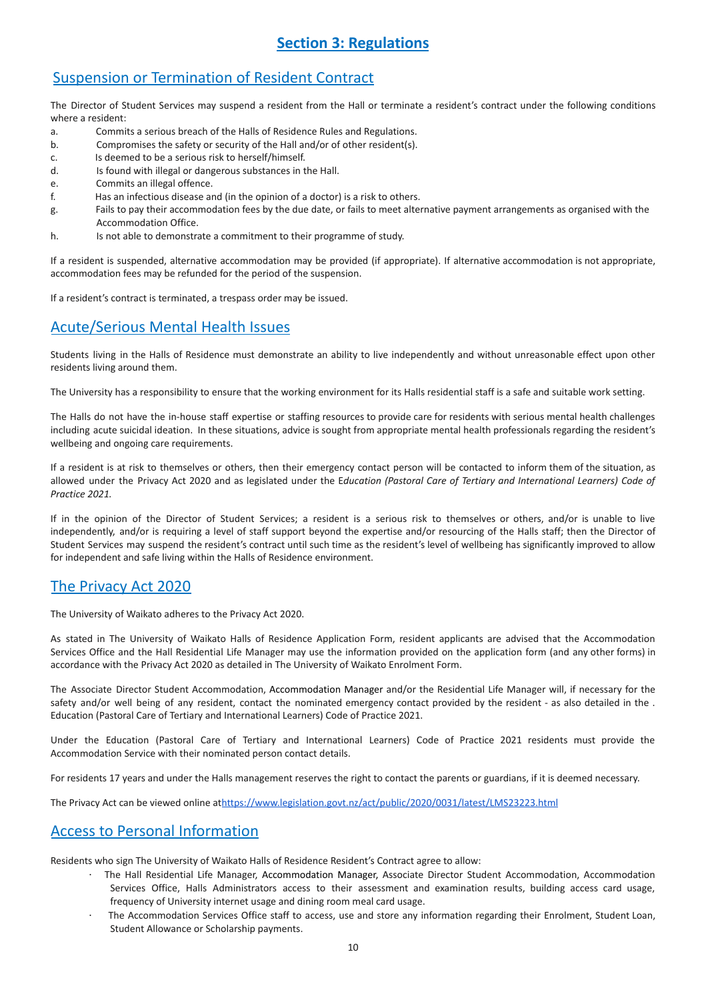# **Section 3: Regulations**

# Suspension or Termination of Resident Contract

The Director of Student Services may suspend a resident from the Hall or terminate a resident's contract under the following conditions where a resident:

- a. Commits a serious breach of the Halls of Residence Rules and Regulations.
- b. Compromises the safety or security of the Hall and/or of other resident(s).
- c. Is deemed to be a serious risk to herself/himself.
- d. Is found with illegal or dangerous substances in the Hall.
- e. Commits an illegal offence.
- f. Has an infectious disease and (in the opinion of a doctor) is a risk to others.
- g. Fails to pay their accommodation fees by the due date, or fails to meet alternative payment arrangements as organised with the Accommodation Office.
- h. Is not able to demonstrate a commitment to their programme of study.

If a resident is suspended, alternative accommodation may be provided (if appropriate). If alternative accommodation is not appropriate, accommodation fees may be refunded for the period of the suspension.

If a resident's contract is terminated, a trespass order may be issued.

# Acute/Serious Mental Health Issues

Students living in the Halls of Residence must demonstrate an ability to live independently and without unreasonable effect upon other residents living around them.

The University has a responsibility to ensure that the working environment for its Halls residential staff is a safe and suitable work setting.

The Halls do not have the in-house staff expertise or staffing resources to provide care for residents with serious mental health challenges including acute suicidal ideation. In these situations, advice is sought from appropriate mental health professionals regarding the resident's wellbeing and ongoing care requirements.

If a resident is at risk to themselves or others, then their emergency contact person will be contacted to inform them of the situation, as allowed under the Privacy Act 2020 and as legislated under the E*ducation (Pastoral Care of Tertiary and International Learners) Code of Practice 2021.*

If in the opinion of the Director of Student Services; a resident is a serious risk to themselves or others, and/or is unable to live independently, and/or is requiring a level of staff support beyond the expertise and/or resourcing of the Halls staff; then the Director of Student Services may suspend the resident's contract until such time as the resident's level of wellbeing has significantly improved to allow for independent and safe living within the Halls of Residence environment.

# The Privacy Act 2020

The University of Waikato adheres to the Privacy Act 2020.

As stated in The University of Waikato Halls of Residence Application Form, resident applicants are advised that the Accommodation Services Office and the Hall Residential Life Manager may use the information provided on the application form (and any other forms) in accordance with the Privacy Act 2020 as detailed in The University of Waikato Enrolment Form.

The Associate Director Student Accommodation, Accommodation Manager and/or the Residential Life Manager will, if necessary for the safety and/or well being of any resident, contact the nominated emergency contact provided by the resident - as also detailed in the . Education (Pastoral Care of Tertiary and International Learners) Code of Practice 2021.

Under the Education (Pastoral Care of Tertiary and International Learners) Code of Practice 2021 residents must provide the Accommodation Service with their nominated person contact details.

For residents 17 years and under the Halls management reserves the right to contact the parents or guardians, if it is deemed necessary.

The Privacy Act can be viewed online at[https://www.legislation.govt.nz/act/public/2020/0031/latest/LMS23223.html](http://www.legislation.govt.nz/act/public/1993/0028/latest/DLM296639.html)

# Access to Personal Information

Residents who sign The University of Waikato Halls of Residence Resident's Contract agree to allow:

- · The Hall Residential Life Manager, Accommodation Manager, Associate Director Student Accommodation, Accommodation Services Office, Halls Administrators access to their assessment and examination results, building access card usage, frequency of University internet usage and dining room meal card usage.
- The Accommodation Services Office staff to access, use and store any information regarding their Enrolment, Student Loan, Student Allowance or Scholarship payments.